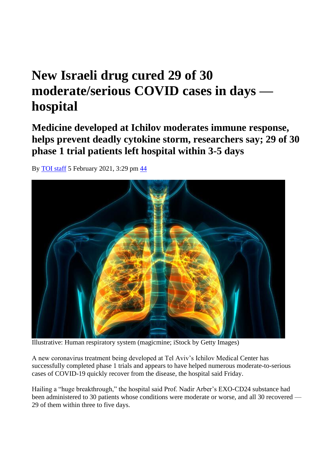# **New Israeli drug cured 29 of 30 moderate/serious COVID cases in days hospital**

### **Medicine developed at Ichilov moderates immune response, helps prevent deadly cytokine storm, researchers say; 29 of 30 phase 1 trial patients left hospital within 3-5 days**

By [TOI staff](https://www.timesofisrael.com/writers/times-of-israel-staff/) 5 February 2021, 3:29 pm [44](https://www.timesofisrael.com/new-israeli-drug-cured-moderate-to-serious-covid-cases-within-days-hospital/#comments)



Illustrative: Human respiratory system (magicmine; iStock by Getty Images)

A new coronavirus treatment being developed at Tel Aviv's Ichilov Medical Center has successfully completed phase 1 trials and appears to have helped numerous moderate-to-serious cases of COVID-19 quickly recover from the disease, the hospital said Friday.

Hailing a "huge breakthrough," the hospital said Prof. Nadir Arber's EXO-CD24 substance had been administered to 30 patients whose conditions were moderate or worse, and all 30 recovered — 29 of them within three to five days.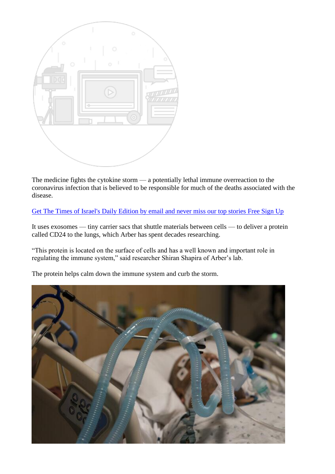

The medicine fights the cytokine storm — a potentially lethal immune overreaction to the coronavirus infection that is believed to be responsible for much of the deaths associated with the disease.

[Get The Times of Israel's Daily Edition by email and never miss our top stories Free Sign Up](https://www.timesofisrael.com/signup/?utm_source=toi-articles&utm_medium=middle-link&utm_campaign=signup-buttons) 

It uses exosomes — tiny carrier sacs that shuttle materials between cells — to deliver a protein called CD24 to the lungs, which Arber has spent decades researching.

"This protein is located on the surface of cells and has a well known and important role in regulating the immune system," said researcher Shiran Shapira of Arber's lab.

The protein helps calm down the immune system and curb the storm.

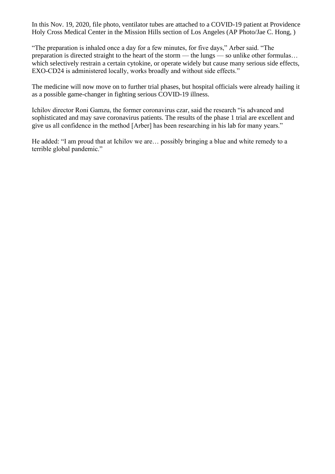In this Nov. 19, 2020, file photo, ventilator tubes are attached to a COVID-19 patient at Providence Holy Cross Medical Center in the Mission Hills section of Los Angeles (AP Photo/Jae C. Hong, )

"The preparation is inhaled once a day for a few minutes, for five days," Arber said. "The preparation is directed straight to the heart of the storm — the lungs — so unlike other formulas… which selectively restrain a certain cytokine, or operate widely but cause many serious side effects, EXO-CD24 is administered locally, works broadly and without side effects."

The medicine will now move on to further trial phases, but hospital officials were already hailing it as a possible game-changer in fighting serious COVID-19 illness.

Ichilov director Roni Gamzu, the former coronavirus czar, said the research "is advanced and sophisticated and may save coronavirus patients. The results of the phase 1 trial are excellent and give us all confidence in the method [Arber] has been researching in his lab for many years."

He added: "I am proud that at Ichilov we are… possibly bringing a blue and white remedy to a terrible global pandemic."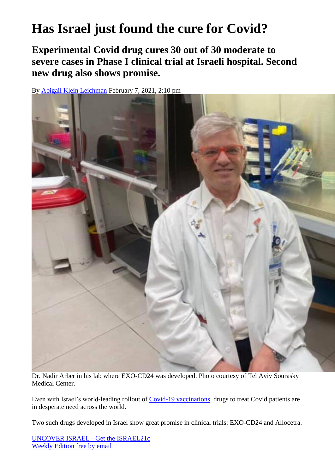## **Has Israel just found the cure for Covid?**

**Experimental Covid drug cures 30 out of 30 moderate to severe cases in Phase I clinical trial at Israeli hospital. Second new drug also shows promise.**

By [Abigail Klein Leichman](https://www.israel21c.org/writer/abigail-klein-leichman/) February 7, 2021, 2:10 pm



Dr. Nadir Arber in his lab where EXO-CD24 was developed. Photo courtesy of Tel Aviv Sourasky Medical Center.

Even with Israel's world-leading rollout of [Covid-19 vaccinations,](https://www.israel21c.org/what-the-world-can-learn-from-israels-fast-vaccine-rollout/) drugs to treat Covid patients are in desperate need across the world.

Two such drugs developed in Israel show great promise in clinical trials: EXO-CD24 and Allocetra.

[UNCOVER ISRAEL -](https://www.israel21c.org/wp-content/themes/rgb/popup.php) Get the ISRAEL21c [Weekly Edition free by email](https://www.israel21c.org/wp-content/themes/rgb/popup.php)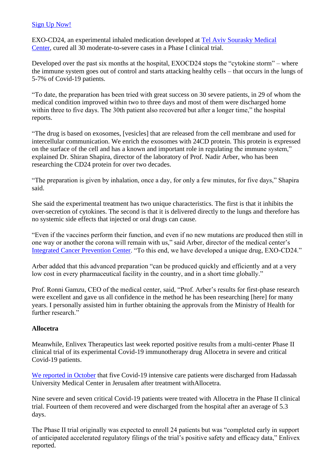#### [Sign Up Now!](https://www.israel21c.org/wp-content/themes/rgb/popup.php)

EXO-CD24, an experimental inhaled medication developed at [Tel Aviv Sourasky Medical](https://www.tasmc.org.il/sites/en/Pages/default.aspx)  [Center,](https://www.tasmc.org.il/sites/en/Pages/default.aspx) cured all 30 moderate-to-severe cases in a Phase I clinical trial.

Developed over the past six months at the hospital, EXOCD24 stops the "cytokine storm" – where the immune system goes out of control and starts attacking healthy cells – that occurs in the lungs of 5-7% of Covid-19 patients.

"To date, the preparation has been tried with great success on 30 severe patients, in 29 of whom the medical condition improved within two to three days and most of them were discharged home within three to five days. The 30th patient also recovered but after a longer time," the hospital reports.

"The drug is based on exosomes, [vesicles] that are released from the cell membrane and used for intercellular communication. We enrich the exosomes with 24CD protein. This protein is expressed on the surface of the cell and has a known and important role in regulating the immune system," explained Dr. Shiran Shapira, director of the laboratory of Prof. Nadir Arber, who has been researching the CD24 protein for over two decades.

"The preparation is given by inhalation, once a day, for only a few minutes, for five days," Shapira said.

She said the experimental treatment has two unique characteristics. The first is that it inhibits the over-secretion of cytokines. The second is that it is delivered directly to the lungs and therefore has no systemic side effects that injected or oral drugs can cause.

"Even if the vaccines perform their function, and even if no new mutations are produced then still in one way or another the corona will remain with us," said Arber, director of the medical center's [Integrated Cancer Prevention Center.](https://www.tasmc.org.il/sites/en/Personnel/Pages/Arber-Nadir.aspx) "To this end, we have developed a unique drug, EXO-CD24."

Arber added that this advanced preparation "can be produced quickly and efficiently and at a very low cost in every pharmaceutical facility in the country, and in a short time globally."

Prof. Ronni Gamzu, CEO of the medical center, said, "Prof. Arber's results for first-phase research were excellent and gave us all confidence in the method he has been researching [here] for many years. I personally assisted him in further obtaining the approvals from the Ministry of Health for further research<sup>"</sup>

#### **Allocetra**

Meanwhile, Enlivex Therapeutics last week reported positive results from a multi-center Phase II clinical trial of its experimental Covid-19 immunotherapy drug Allocetra in severe and critical Covid-19 patients.

[We reported in October](https://www.israel21c.org/5-severe-covid-patients-cured-by-experimental-drug/) that five Covid-19 intensive care patients were discharged from Hadassah University Medical Center in Jerusalem after treatment withAllocetra.

Nine severe and seven critical Covid-19 patients were treated with Allocetra in the Phase II clinical trial. Fourteen of them recovered and were discharged from the hospital after an average of 5.3 days.

The Phase II trial originally was expected to enroll 24 patients but was "completed early in support of anticipated accelerated regulatory filings of the trial's positive safety and efficacy data," Enlivex reported.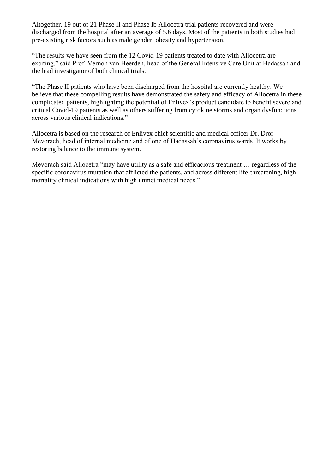Altogether, 19 out of 21 Phase II and Phase Ib Allocetra trial patients recovered and were discharged from the hospital after an average of 5.6 days. Most of the patients in both studies had pre-existing risk factors such as male gender, obesity and hypertension.

"The results we have seen from the 12 Covid-19 patients treated to date with Allocetra are exciting," said Prof. Vernon van Heerden, head of the General Intensive Care Unit at Hadassah and the lead investigator of both clinical trials.

"The Phase II patients who have been discharged from the hospital are currently healthy. We believe that these compelling results have demonstrated the safety and efficacy of Allocetra in these complicated patients, highlighting the potential of Enlivex's product candidate to benefit severe and critical Covid-19 patients as well as others suffering from cytokine storms and organ dysfunctions across various clinical indications."

Allocetra is based on the research of Enlivex chief scientific and medical officer Dr. Dror Mevorach, head of internal medicine and of one of Hadassah's coronavirus wards. It works by restoring balance to the immune system.

Mevorach said Allocetra "may have utility as a safe and efficacious treatment … regardless of the specific coronavirus mutation that afflicted the patients, and across different life-threatening, high mortality clinical indications with high unmet medical needs."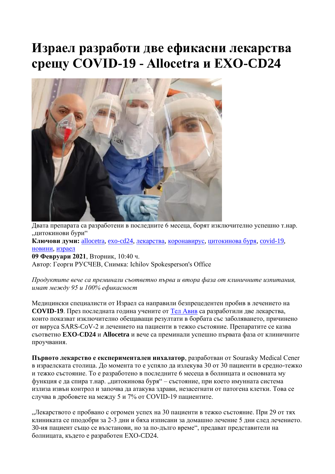### **Израел разработи две ефикасни лекарства срещу COVID-19 - Allocetra и EXO-CD24**



Двата препарата са разработени в последните 6 месеца, борят изключително успешно т.нар. "цитокинови бури"

**Ключови думи:** [allocetra,](https://www.flagman.bg/таг/allocetra) [exo-cd24,](https://www.flagman.bg/таг/exo-cd24) [лекарства,](https://www.flagman.bg/таг/лекарства) [коронавирус,](https://www.flagman.bg/таг/коронавирус) [цитокинова буря,](https://www.flagman.bg/таг/цитокинова%20буря) [covid-19,](https://www.flagman.bg/таг/covid-19) [новини,](https://www.flagman.bg/таг/новини) [израел](https://www.flagman.bg/таг/израел)

**09 Февруари 2021**, Вторник, 10:40 ч.

Автор: Георги РУСЧЕВ, Снимка: Ichilov Spokesperson's Office

*Продуктите вече са преминали съответно първа и втора фаза от клиничните изпитания, имат между 95 и 100% ефикасност*

Медицински специалисти от Израел са направили безпрецедентен пробив в лечението на **COVID-19**. През последната година учените от [Тел Авив](https://www.israel21c.org/has-israel-just-found-the-cure-for-covid/) са разработили две лекарства, които показват изключително обещаващи резултати в борбата със заболяването, причинено от вируса SARS-CoV-2 и лечението на пациенти в тежко състояние. Препаратите се казва съответно **EXO-CD24** и **Allocetra** и вече са преминали успешно първата фаза от клиничните проучвания.

**Първото лекарство е експериментален инхалатор**, разработван от Sourasky Medical Cener в израелската столица. До момента то е успяло да излекува 30 от 30 пациенти в средно-тежко и тежко състояние. То е разработено в последните 6 месеца в болницата и основната му функция е да спира т.нар. "цитокинова буря" – състояние, при което имунната система излиза извън контрол и започва да атакува здрави, незасегнати от патогена клетки. Това се случва в дробовете на между 5 и 7% от COVID-19 пациентите.

"Лекарството е пробвано с огромен успех на 30 пациенти в тежко състояние. При 29 от тях клиниката се пподобри за 2-3 дни и бяха изписани за домашно лечение 5 дни след лечението. 30-ия пациент също се възстанови, но за по-дълго време", предават представители на болницата, където е разработен EXO-CD24.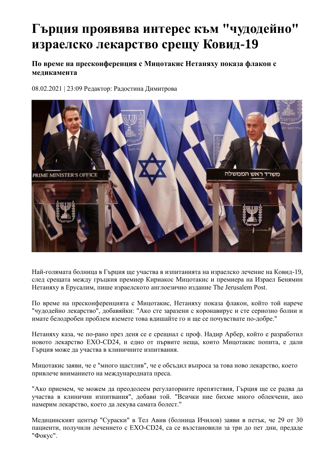## **Гърция проявява интерес към "чудодейно" израелско лекарство срещу Ковид-19**

### **По време на пресконференция с Мицотакис Нетаняху показа флакон с медикамента**

08.02.2021 | 23:09 Редактор: Радостина Димитрова



Най-голямата болница в Гърция ще участва в изпитанията на израелско лечение на Ковид-19, след срещата между гръцкия премиер Кириакос Мицотакис и премиера на Израел Бенямин Нетаняху в Ерусалим, пише израелското англоезично издание The Jerusalem Post.

По време на пресконференцията с Мицотакис, Нетаняху показа флакон, който той нарече "чудодейно лекарство", добавяйки: "Ако сте заразени с коронавирус и сте сериозно болни и имате белодробен проблем вземете това вдишайте го и ще се почувствате по-добре."

Нетаняху каза, че по-рано през деня се е срещнал с проф. Надир Арбер, който е разработил новото лекарство EXO-CD24, и едно от първите неща, които Мицотакис попита, е дали Гърция може да участва в клиничните изпитвания.

Мицотакис заяви, че е "много щастлив", че е обсъдил въпроса за това ново лекарство, което привлече вниманието на международната преса.

"Ако приемем, че можем да преодолеем регулаторните препятствия, Гърция ще се радва да участва в клинични изпитвания", добави той. "Всички ние бихме много облекчени, ако намерим лекарство, което да лекува самата болест."

Медицинският център "Сураски" в Тел Авив (болница Ичилов) заяви в петък, че 29 от 30 пациенти, получили лечението с EXO-CD24, са се възстановили за три до пет дни, предаде "Фокус".